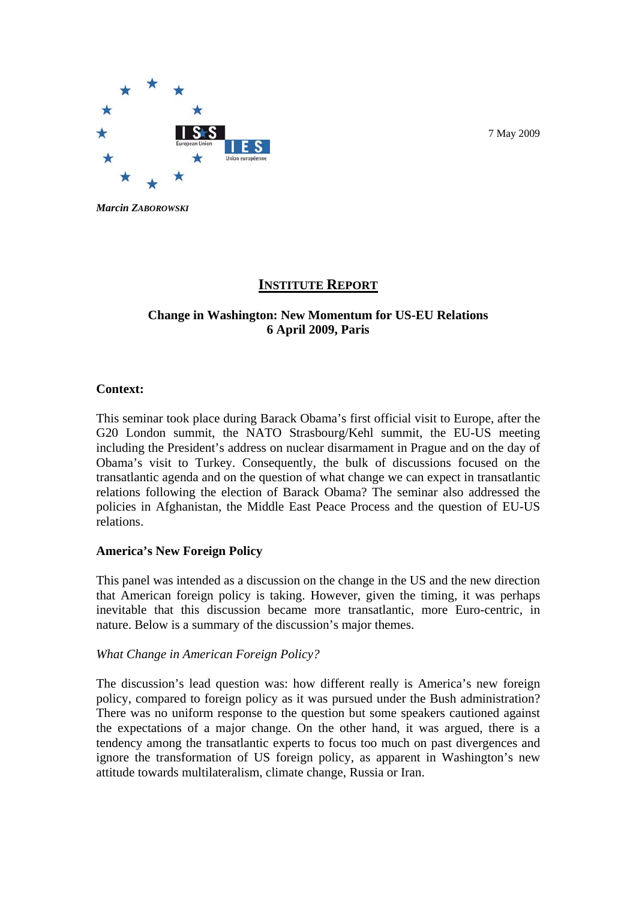

*Marcin ZABOROWSKI*

# **INSTITUTE REPORT**

# **Change in Washington: New Momentum for US-EU Relations 6 April 2009, Paris**

## **Context:**

This seminar took place during Barack Obama's first official visit to Europe, after the G20 London summit, the NATO Strasbourg/Kehl summit, the EU-US meeting including the President's address on nuclear disarmament in Prague and on the day of Obama's visit to Turkey. Consequently, the bulk of discussions focused on the transatlantic agenda and on the question of what change we can expect in transatlantic relations following the election of Barack Obama? The seminar also addressed the policies in Afghanistan, the Middle East Peace Process and the question of EU-US relations.

## **America's New Foreign Policy**

This panel was intended as a discussion on the change in the US and the new direction that American foreign policy is taking. However, given the timing, it was perhaps inevitable that this discussion became more transatlantic, more Euro-centric, in nature. Below is a summary of the discussion's major themes.

## *What Change in American Foreign Policy?*

The discussion's lead question was: how different really is America's new foreign policy, compared to foreign policy as it was pursued under the Bush administration? There was no uniform response to the question but some speakers cautioned against the expectations of a major change. On the other hand, it was argued, there is a tendency among the transatlantic experts to focus too much on past divergences and ignore the transformation of US foreign policy, as apparent in Washington's new attitude towards multilateralism, climate change, Russia or Iran.

7 May 2009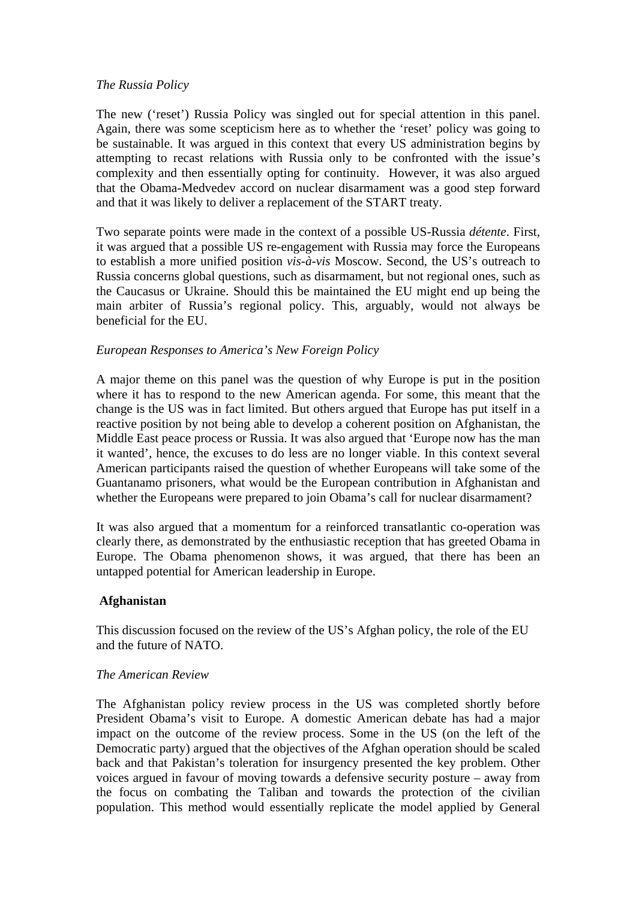## *The Russia Policy*

The new ('reset') Russia Policy was singled out for special attention in this panel. Again, there was some scepticism here as to whether the 'reset' policy was going to be sustainable. It was argued in this context that every US administration begins by attempting to recast relations with Russia only to be confronted with the issue's complexity and then essentially opting for continuity. However, it was also argued that the Obama-Medvedev accord on nuclear disarmament was a good step forward and that it was likely to deliver a replacement of the START treaty.

Two separate points were made in the context of a possible US-Russia *détente*. First, it was argued that a possible US re-engagement with Russia may force the Europeans to establish a more unified position *vis-à-vis* Moscow. Second, the US's outreach to Russia concerns global questions, such as disarmament, but not regional ones, such as the Caucasus or Ukraine. Should this be maintained the EU might end up being the main arbiter of Russia's regional policy. This, arguably, would not always be beneficial for the EU.

# *European Responses to America's New Foreign Policy*

A major theme on this panel was the question of why Europe is put in the position where it has to respond to the new American agenda. For some, this meant that the change is the US was in fact limited. But others argued that Europe has put itself in a reactive position by not being able to develop a coherent position on Afghanistan, the Middle East peace process or Russia. It was also argued that 'Europe now has the man it wanted', hence, the excuses to do less are no longer viable. In this context several American participants raised the question of whether Europeans will take some of the Guantanamo prisoners, what would be the European contribution in Afghanistan and whether the Europeans were prepared to join Obama's call for nuclear disarmament?

It was also argued that a momentum for a reinforced transatlantic co-operation was clearly there, as demonstrated by the enthusiastic reception that has greeted Obama in Europe. The Obama phenomenon shows, it was argued, that there has been an untapped potential for American leadership in Europe.

## **Afghanistan**

This discussion focused on the review of the US's Afghan policy, the role of the EU and the future of NATO.

## *The American Review*

The Afghanistan policy review process in the US was completed shortly before President Obama's visit to Europe. A domestic American debate has had a major impact on the outcome of the review process. Some in the US (on the left of the Democratic party) argued that the objectives of the Afghan operation should be scaled back and that Pakistan's toleration for insurgency presented the key problem. Other voices argued in favour of moving towards a defensive security posture – away from the focus on combating the Taliban and towards the protection of the civilian population. This method would essentially replicate the model applied by General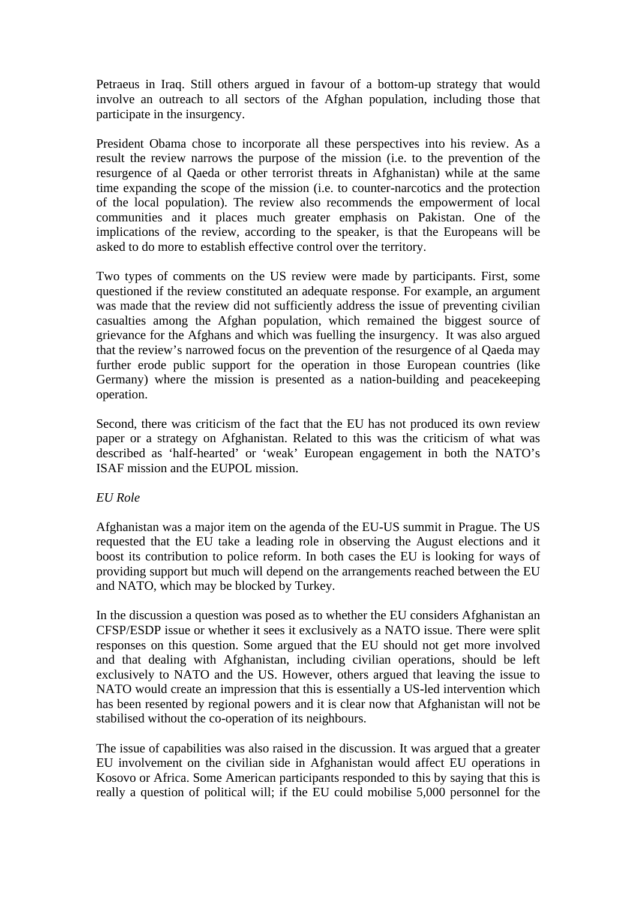Petraeus in Iraq. Still others argued in favour of a bottom-up strategy that would involve an outreach to all sectors of the Afghan population, including those that participate in the insurgency.

President Obama chose to incorporate all these perspectives into his review. As a result the review narrows the purpose of the mission (i.e. to the prevention of the resurgence of al Qaeda or other terrorist threats in Afghanistan) while at the same time expanding the scope of the mission (i.e. to counter-narcotics and the protection of the local population). The review also recommends the empowerment of local communities and it places much greater emphasis on Pakistan. One of the implications of the review, according to the speaker, is that the Europeans will be asked to do more to establish effective control over the territory.

Two types of comments on the US review were made by participants. First, some questioned if the review constituted an adequate response. For example, an argument was made that the review did not sufficiently address the issue of preventing civilian casualties among the Afghan population, which remained the biggest source of grievance for the Afghans and which was fuelling the insurgency. It was also argued that the review's narrowed focus on the prevention of the resurgence of al Qaeda may further erode public support for the operation in those European countries (like Germany) where the mission is presented as a nation-building and peacekeeping operation.

Second, there was criticism of the fact that the EU has not produced its own review paper or a strategy on Afghanistan. Related to this was the criticism of what was described as 'half-hearted' or 'weak' European engagement in both the NATO's ISAF mission and the EUPOL mission.

## *EU Role*

Afghanistan was a major item on the agenda of the EU-US summit in Prague. The US requested that the EU take a leading role in observing the August elections and it boost its contribution to police reform. In both cases the EU is looking for ways of providing support but much will depend on the arrangements reached between the EU and NATO, which may be blocked by Turkey.

In the discussion a question was posed as to whether the EU considers Afghanistan an CFSP/ESDP issue or whether it sees it exclusively as a NATO issue. There were split responses on this question. Some argued that the EU should not get more involved and that dealing with Afghanistan, including civilian operations, should be left exclusively to NATO and the US. However, others argued that leaving the issue to NATO would create an impression that this is essentially a US-led intervention which has been resented by regional powers and it is clear now that Afghanistan will not be stabilised without the co-operation of its neighbours.

The issue of capabilities was also raised in the discussion. It was argued that a greater EU involvement on the civilian side in Afghanistan would affect EU operations in Kosovo or Africa. Some American participants responded to this by saying that this is really a question of political will; if the EU could mobilise 5,000 personnel for the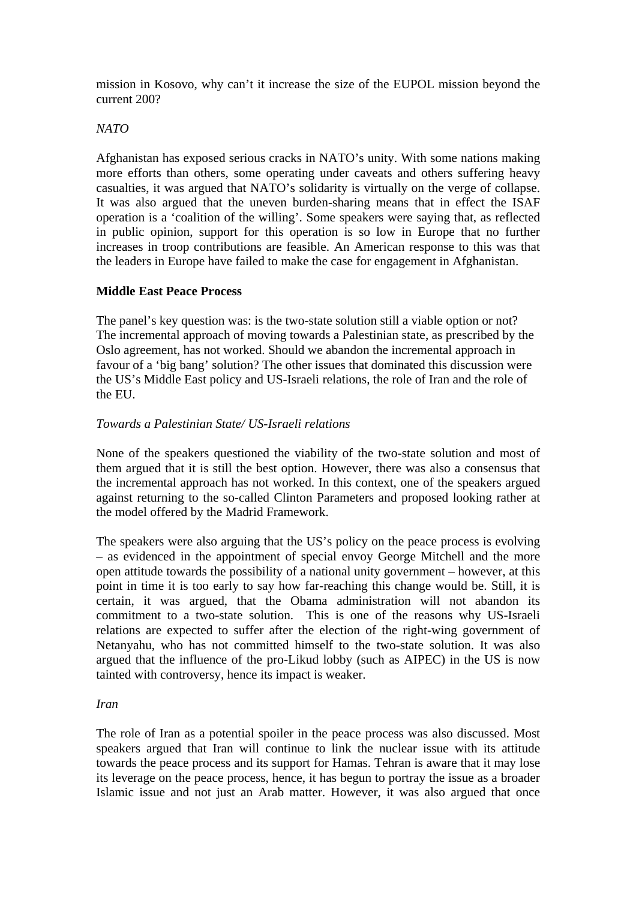mission in Kosovo, why can't it increase the size of the EUPOL mission beyond the current 200?

## *NATO*

Afghanistan has exposed serious cracks in NATO's unity. With some nations making more efforts than others, some operating under caveats and others suffering heavy casualties, it was argued that NATO's solidarity is virtually on the verge of collapse. It was also argued that the uneven burden-sharing means that in effect the ISAF operation is a 'coalition of the willing'. Some speakers were saying that, as reflected in public opinion, support for this operation is so low in Europe that no further increases in troop contributions are feasible. An American response to this was that the leaders in Europe have failed to make the case for engagement in Afghanistan.

# **Middle East Peace Process**

The panel's key question was: is the two-state solution still a viable option or not? The incremental approach of moving towards a Palestinian state, as prescribed by the Oslo agreement, has not worked. Should we abandon the incremental approach in favour of a 'big bang' solution? The other issues that dominated this discussion were the US's Middle East policy and US-Israeli relations, the role of Iran and the role of the EU.

# *Towards a Palestinian State/ US-Israeli relations*

None of the speakers questioned the viability of the two-state solution and most of them argued that it is still the best option. However, there was also a consensus that the incremental approach has not worked. In this context, one of the speakers argued against returning to the so-called Clinton Parameters and proposed looking rather at the model offered by the Madrid Framework.

The speakers were also arguing that the US's policy on the peace process is evolving – as evidenced in the appointment of special envoy George Mitchell and the more open attitude towards the possibility of a national unity government – however, at this point in time it is too early to say how far-reaching this change would be. Still, it is certain, it was argued, that the Obama administration will not abandon its commitment to a two-state solution. This is one of the reasons why US-Israeli relations are expected to suffer after the election of the right-wing government of Netanyahu, who has not committed himself to the two-state solution. It was also argued that the influence of the pro-Likud lobby (such as AIPEC) in the US is now tainted with controversy, hence its impact is weaker.

## *Iran*

The role of Iran as a potential spoiler in the peace process was also discussed. Most speakers argued that Iran will continue to link the nuclear issue with its attitude towards the peace process and its support for Hamas. Tehran is aware that it may lose its leverage on the peace process, hence, it has begun to portray the issue as a broader Islamic issue and not just an Arab matter. However, it was also argued that once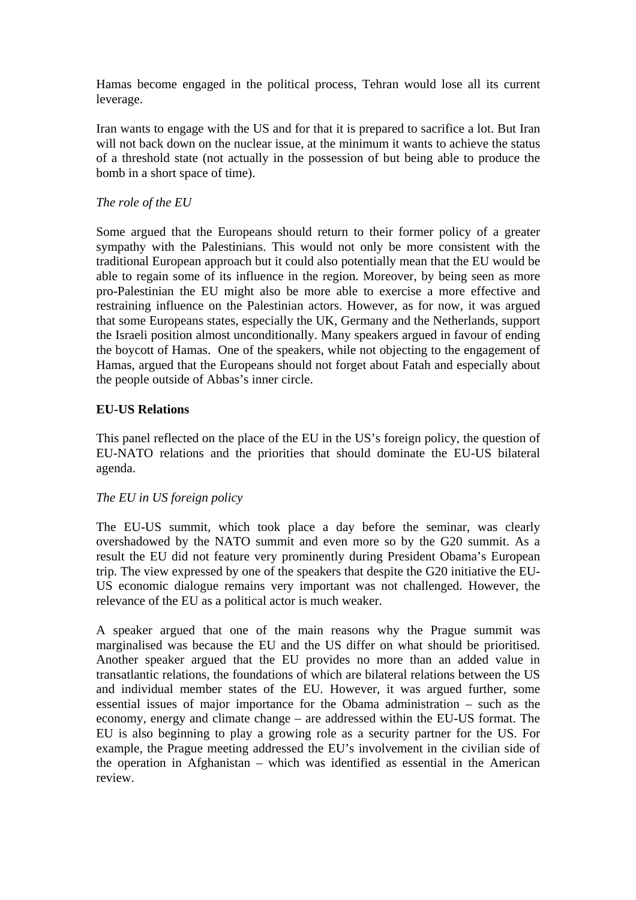Hamas become engaged in the political process, Tehran would lose all its current leverage.

Iran wants to engage with the US and for that it is prepared to sacrifice a lot. But Iran will not back down on the nuclear issue, at the minimum it wants to achieve the status of a threshold state (not actually in the possession of but being able to produce the bomb in a short space of time).

# *The role of the EU*

Some argued that the Europeans should return to their former policy of a greater sympathy with the Palestinians. This would not only be more consistent with the traditional European approach but it could also potentially mean that the EU would be able to regain some of its influence in the region. Moreover, by being seen as more pro-Palestinian the EU might also be more able to exercise a more effective and restraining influence on the Palestinian actors. However, as for now, it was argued that some Europeans states, especially the UK, Germany and the Netherlands, support the Israeli position almost unconditionally. Many speakers argued in favour of ending the boycott of Hamas. One of the speakers, while not objecting to the engagement of Hamas, argued that the Europeans should not forget about Fatah and especially about the people outside of Abbas's inner circle.

# **EU-US Relations**

This panel reflected on the place of the EU in the US's foreign policy, the question of EU-NATO relations and the priorities that should dominate the EU-US bilateral agenda.

## *The EU in US foreign policy*

The EU-US summit, which took place a day before the seminar, was clearly overshadowed by the NATO summit and even more so by the G20 summit. As a result the EU did not feature very prominently during President Obama's European trip. The view expressed by one of the speakers that despite the G20 initiative the EU-US economic dialogue remains very important was not challenged. However, the relevance of the EU as a political actor is much weaker.

A speaker argued that one of the main reasons why the Prague summit was marginalised was because the EU and the US differ on what should be prioritised. Another speaker argued that the EU provides no more than an added value in transatlantic relations, the foundations of which are bilateral relations between the US and individual member states of the EU. However, it was argued further, some essential issues of major importance for the Obama administration – such as the economy, energy and climate change – are addressed within the EU-US format. The EU is also beginning to play a growing role as a security partner for the US. For example, the Prague meeting addressed the EU's involvement in the civilian side of the operation in Afghanistan – which was identified as essential in the American review.